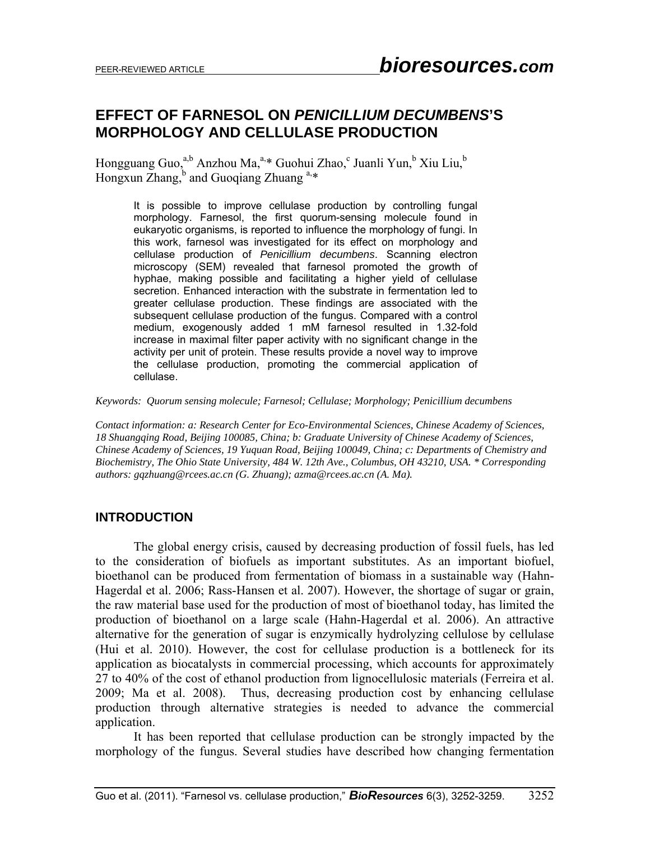# **EFFECT OF FARNESOL ON** *PENICILLIUM DECUMBENS***'S MORPHOLOGY AND CELLULASE PRODUCTION**

Hongguang Guo,<sup>a,b</sup> Anzhou Ma,<sup>a,\*</sup> Guohui Zhao,<sup>c</sup> Juanli Yun,<sup>b</sup> Xiu Liu,<sup>b</sup> Hongxun Zhang, $\overline{b}$  and Guoqiang Zhuang  $a,*$ 

It is possible to improve cellulase production by controlling fungal morphology. Farnesol, the first quorum-sensing molecule found in eukaryotic organisms, is reported to influence the morphology of fungi. In this work, farnesol was investigated for its effect on morphology and cellulase production of *Penicillium decumbens*. Scanning electron microscopy (SEM) revealed that farnesol promoted the growth of hyphae, making possible and facilitating a higher yield of cellulase secretion. Enhanced interaction with the substrate in fermentation led to greater cellulase production. These findings are associated with the subsequent cellulase production of the fungus. Compared with a control medium, exogenously added 1 mM farnesol resulted in 1.32-fold increase in maximal filter paper activity with no significant change in the activity per unit of protein. These results provide a novel way to improve the cellulase production, promoting the commercial application of cellulase.

*Keywords: Quorum sensing molecule; Farnesol; Cellulase; Morphology; Penicillium decumbens* 

*Contact information: a: Research Center for Eco-Environmental Sciences, Chinese Academy of Sciences, 18 Shuangqing Road, Beijing 100085, China; b: Graduate University of Chinese Academy of Sciences, Chinese Academy of Sciences, 19 Yuquan Road, Beijing 100049, China; c: Departments of Chemistry and Biochemistry, The Ohio State University, 484 W. 12th Ave., Columbus, OH 43210, USA. \* Corresponding authors: gqzhuang@rcees.ac.cn (G. Zhuang); azma@rcees.ac.cn (A. Ma).* 

#### **INTRODUCTION**

 The global energy crisis, caused by decreasing production of fossil fuels, has led to the consideration of biofuels as important substitutes. As an important biofuel, bioethanol can be produced from fermentation of biomass in a sustainable way (Hahn-Hagerdal et al. 2006; Rass-Hansen et al. 2007). However, the shortage of sugar or grain, the raw material base used for the production of most of bioethanol today, has limited the production of bioethanol on a large scale (Hahn-Hagerdal et al. 2006). An attractive alternative for the generation of sugar is enzymically hydrolyzing cellulose by cellulase (Hui et al. 2010). However, the cost for cellulase production is a bottleneck for its application as biocatalysts in commercial processing, which accounts for approximately 27 to 40% of the cost of ethanol production from lignocellulosic materials (Ferreira et al. 2009; Ma et al. 2008). Thus, decreasing production cost by enhancing cellulase production through alternative strategies is needed to advance the commercial application.

 It has been reported that cellulase production can be strongly impacted by the morphology of the fungus. Several studies have described how changing fermentation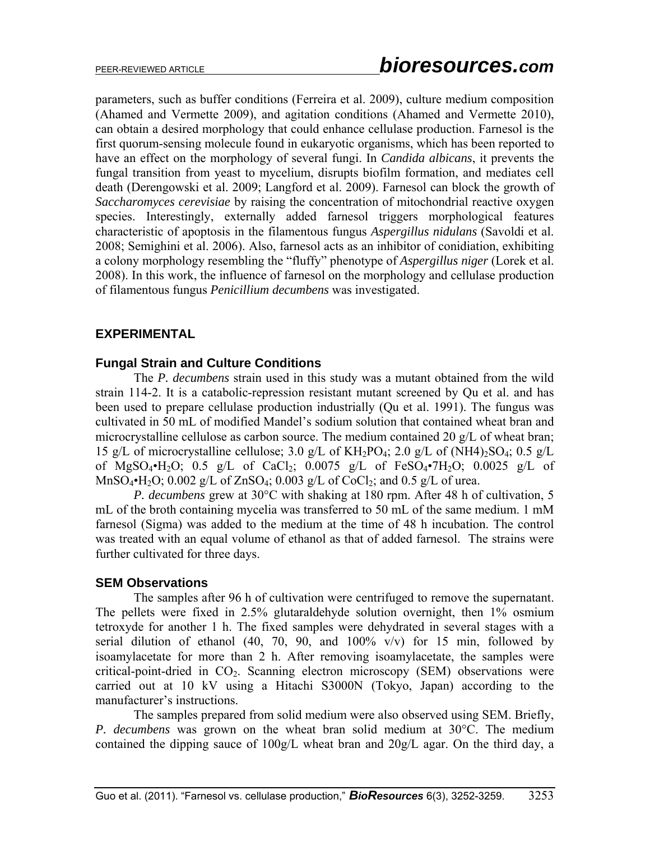parameters, such as buffer conditions (Ferreira et al. 2009), culture medium composition (Ahamed and Vermette 2009), and agitation conditions (Ahamed and Vermette 2010), can obtain a desired morphology that could enhance cellulase production. Farnesol is the first quorum-sensing molecule found in eukaryotic organisms, which has been reported to have an effect on the morphology of several fungi. In *Candida albicans*, it prevents the fungal transition from yeast to mycelium, disrupts biofilm formation, and mediates cell death (Derengowski et al. 2009; Langford et al. 2009). Farnesol can block the growth of *Saccharomyces cerevisiae* by raising the concentration of mitochondrial reactive oxygen species. Interestingly, externally added farnesol triggers morphological features characteristic of apoptosis in the filamentous fungus *Aspergillus nidulans* (Savoldi et al. 2008; Semighini et al. 2006). Also, farnesol acts as an inhibitor of conidiation, exhibiting a colony morphology resembling the "fluffy" phenotype of *Aspergillus niger* (Lorek et al. 2008). In this work, the influence of farnesol on the morphology and cellulase production of filamentous fungus *Penicillium decumbens* was investigated.

## **EXPERIMENTAL**

#### **Fungal Strain and Culture Conditions**

 The *P. decumbens* strain used in this study was a mutant obtained from the wild strain 114-2. It is a catabolic-repression resistant mutant screened by Qu et al. and has been used to prepare cellulase production industrially (Qu et al. 1991). The fungus was cultivated in 50 mL of modified Mandel's sodium solution that contained wheat bran and microcrystalline cellulose as carbon source. The medium contained 20 g/L of wheat bran; 15 g/L of microcrystalline cellulose; 3.0 g/L of  $KH_2PO_4$ ; 2.0 g/L of  $(NH4)_2SO_4$ ; 0.5 g/L of MgSO<sub>4</sub>•H<sub>2</sub>O; 0.5 g/L of CaCl<sub>2</sub>; 0.0075 g/L of FeSO<sub>4</sub>•7H<sub>2</sub>O; 0.0025 g/L of MnSO<sub>4</sub> $\cdot$ H<sub>2</sub>O; 0.002 g/L of ZnSO<sub>4</sub>; 0.003 g/L of CoCl<sub>2</sub>; and 0.5 g/L of urea.

*P. decumbens* grew at 30°C with shaking at 180 rpm. After 48 h of cultivation, 5 mL of the broth containing mycelia was transferred to 50 mL of the same medium. 1 mM farnesol (Sigma) was added to the medium at the time of 48 h incubation. The control was treated with an equal volume of ethanol as that of added farnesol. The strains were further cultivated for three days.

#### **SEM Observations**

 The samples after 96 h of cultivation were centrifuged to remove the supernatant. The pellets were fixed in 2.5% glutaraldehyde solution overnight, then 1% osmium tetroxyde for another 1 h. The fixed samples were dehydrated in several stages with a serial dilution of ethanol (40, 70, 90, and  $100\%$  v/v) for 15 min, followed by isoamylacetate for more than 2 h. After removing isoamylacetate, the samples were critical-point-dried in  $CO<sub>2</sub>$ . Scanning electron microscopy (SEM) observations were carried out at 10 kV using a Hitachi S3000N (Tokyo, Japan) according to the manufacturer's instructions.

 The samples prepared from solid medium were also observed using SEM. Briefly, *P. decumbens* was grown on the wheat bran solid medium at 30°C. The medium contained the dipping sauce of 100g/L wheat bran and 20g/L agar. On the third day, a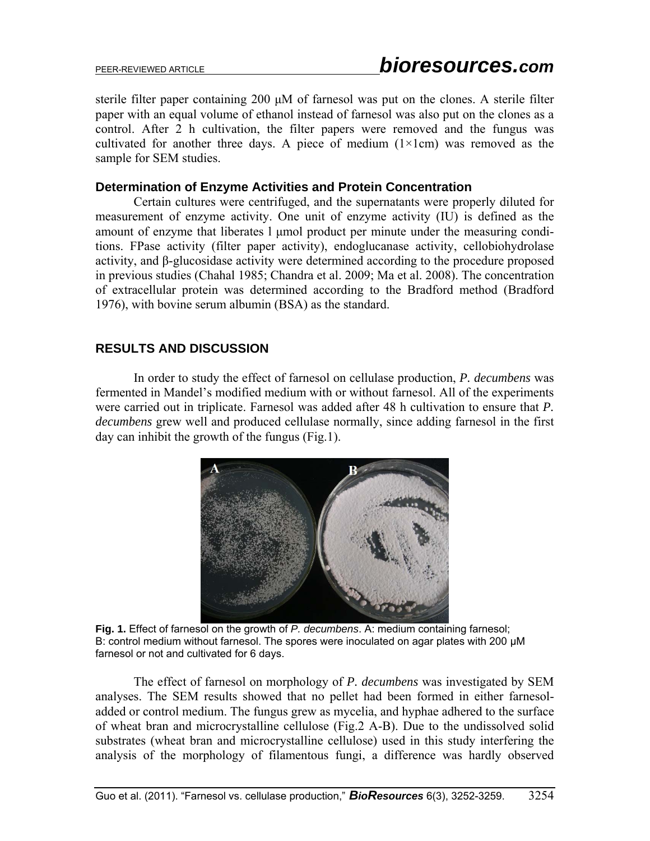sterile filter paper containing 200 μM of farnesol was put on the clones. A sterile filter paper with an equal volume of ethanol instead of farnesol was also put on the clones as a control. After 2 h cultivation, the filter papers were removed and the fungus was cultivated for another three days. A piece of medium  $(1 \times 1$ cm) was removed as the sample for SEM studies.

## **Determination of Enzyme Activities and Protein Concentration**

 Certain cultures were centrifuged, and the supernatants were properly diluted for measurement of enzyme activity. One unit of enzyme activity (IU) is defined as the amount of enzyme that liberates l μmol product per minute under the measuring conditions. FPase activity (filter paper activity), endoglucanase activity, cellobiohydrolase activity, and β-glucosidase activity were determined according to the procedure proposed in previous studies (Chahal 1985; Chandra et al. 2009; Ma et al. 2008). The concentration of extracellular protein was determined according to the Bradford method (Bradford 1976), with bovine serum albumin (BSA) as the standard.

## **RESULTS AND DISCUSSION**

 In order to study the effect of farnesol on cellulase production, *P. decumbens* was fermented in Mandel's modified medium with or without farnesol. All of the experiments were carried out in triplicate. Farnesol was added after 48 h cultivation to ensure that *P. decumbens* grew well and produced cellulase normally, since adding farnesol in the first day can inhibit the growth of the fungus (Fig.1).



**Fig. 1.** Effect of farnesol on the growth of *P. decumbens*. A: medium containing farnesol; B: control medium without farnesol. The spores were inoculated on agar plates with 200 μM farnesol or not and cultivated for 6 days.

 The effect of farnesol on morphology of *P. decumbens* was investigated by SEM analyses. The SEM results showed that no pellet had been formed in either farnesoladded or control medium. The fungus grew as mycelia, and hyphae adhered to the surface of wheat bran and microcrystalline cellulose (Fig.2 A-B). Due to the undissolved solid substrates (wheat bran and microcrystalline cellulose) used in this study interfering the analysis of the morphology of filamentous fungi, a difference was hardly observed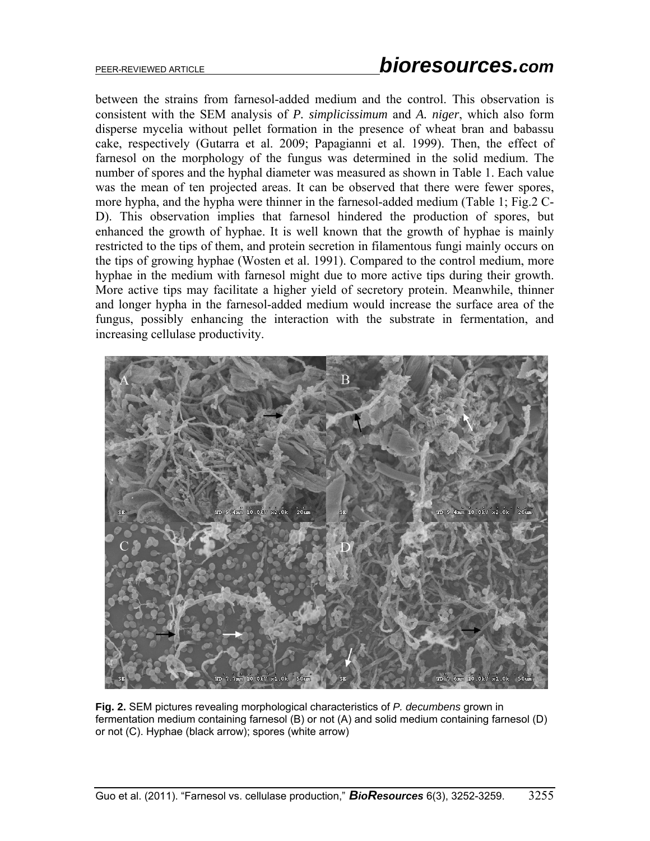between the strains from farnesol-added medium and the control. This observation is consistent with the SEM analysis of *P. simplicissimum* and *A. niger*, which also form disperse mycelia without pellet formation in the presence of wheat bran and babassu cake, respectively (Gutarra et al. 2009; Papagianni et al. 1999). Then, the effect of farnesol on the morphology of the fungus was determined in the solid medium. The number of spores and the hyphal diameter was measured as shown in Table 1. Each value was the mean of ten projected areas. It can be observed that there were fewer spores, more hypha, and the hypha were thinner in the farnesol-added medium (Table 1; Fig.2 C-D). This observation implies that farnesol hindered the production of spores, but enhanced the growth of hyphae. It is well known that the growth of hyphae is mainly restricted to the tips of them, and protein secretion in filamentous fungi mainly occurs on the tips of growing hyphae (Wosten et al. 1991). Compared to the control medium, more hyphae in the medium with farnesol might due to more active tips during their growth. More active tips may facilitate a higher yield of secretory protein. Meanwhile, thinner and longer hypha in the farnesol-added medium would increase the surface area of the fungus, possibly enhancing the interaction with the substrate in fermentation, and increasing cellulase productivity.



**Fig. 2.** SEM pictures revealing morphological characteristics of *P. decumbens* grown in fermentation medium containing farnesol (B) or not (A) and solid medium containing farnesol (D) or not (C). Hyphae (black arrow); spores (white arrow)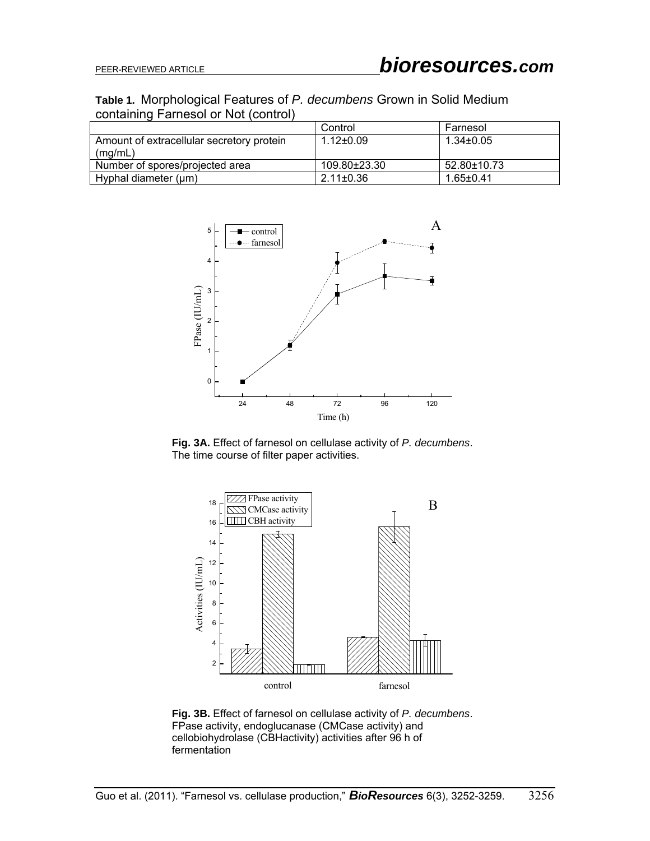### **Table 1.** Morphological Features of *P. decumbens* Grown in Solid Medium containing Farnesol or Not (control)

|                                           | Control         | Farnesol        |
|-------------------------------------------|-----------------|-----------------|
| Amount of extracellular secretory protein | $1.12 \pm 0.09$ | $1.34 \pm 0.05$ |
| (mg/mL)                                   |                 |                 |
| Number of spores/projected area           | 109.80±23.30    | 52.80±10.73     |
| Hyphal diameter (µm)                      | $2.11 \pm 0.36$ | $1.65 \pm 0.41$ |



**Fig. 3A.** Effect of farnesol on cellulase activity of *P. decumbens*. The time course of filter paper activities.



**Fig. 3B.** Effect of farnesol on cellulase activity of *P. decumbens*. FPase activity, endoglucanase (CMCase activity) and cellobiohydrolase (CBHactivity) activities after 96 h of fermentation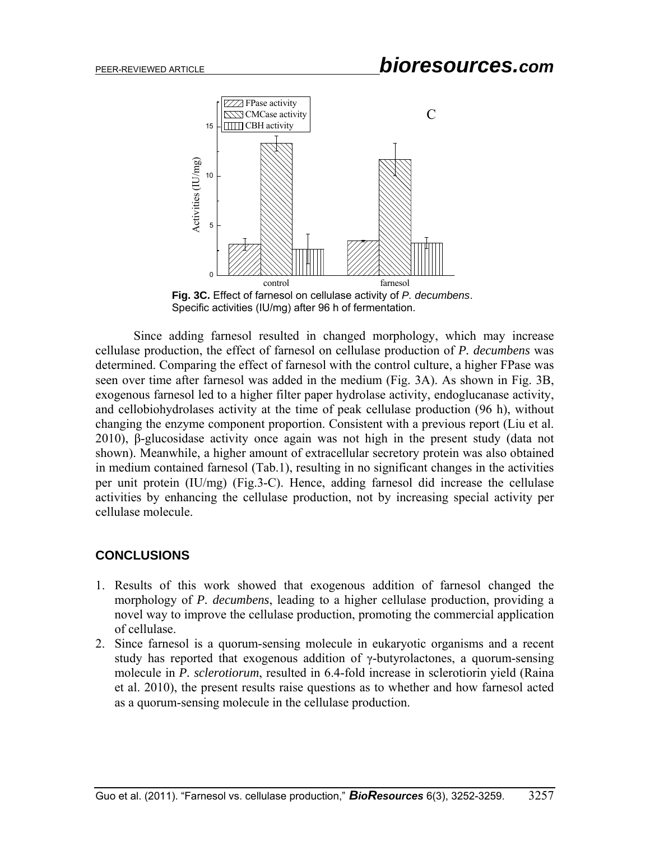

**Fig. 3C.** Effect of farnesol on cellulase activity of *P. decumbens*. Specific activities (IU/mg) after 96 h of fermentation.

 Since adding farnesol resulted in changed morphology, which may increase cellulase production, the effect of farnesol on cellulase production of *P. decumbens* was determined. Comparing the effect of farnesol with the control culture, a higher FPase was seen over time after farnesol was added in the medium (Fig. 3A). As shown in Fig. 3B, exogenous farnesol led to a higher filter paper hydrolase activity, endoglucanase activity, and cellobiohydrolases activity at the time of peak cellulase production (96 h), without changing the enzyme component proportion. Consistent with a previous report (Liu et al. 2010), β-glucosidase activity once again was not high in the present study (data not shown). Meanwhile, a higher amount of extracellular secretory protein was also obtained in medium contained farnesol (Tab.1), resulting in no significant changes in the activities per unit protein (IU/mg) (Fig.3-C). Hence, adding farnesol did increase the cellulase activities by enhancing the cellulase production, not by increasing special activity per cellulase molecule.

#### **CONCLUSIONS**

- 1. Results of this work showed that exogenous addition of farnesol changed the morphology of *P. decumbens*, leading to a higher cellulase production, providing a novel way to improve the cellulase production, promoting the commercial application of cellulase.
- 2. Since farnesol is a quorum-sensing molecule in eukaryotic organisms and a recent study has reported that exogenous addition of γ-butyrolactones, a quorum-sensing molecule in *P. sclerotiorum*, resulted in 6.4-fold increase in sclerotiorin yield (Raina et al. 2010), the present results raise questions as to whether and how farnesol acted as a quorum-sensing molecule in the cellulase production.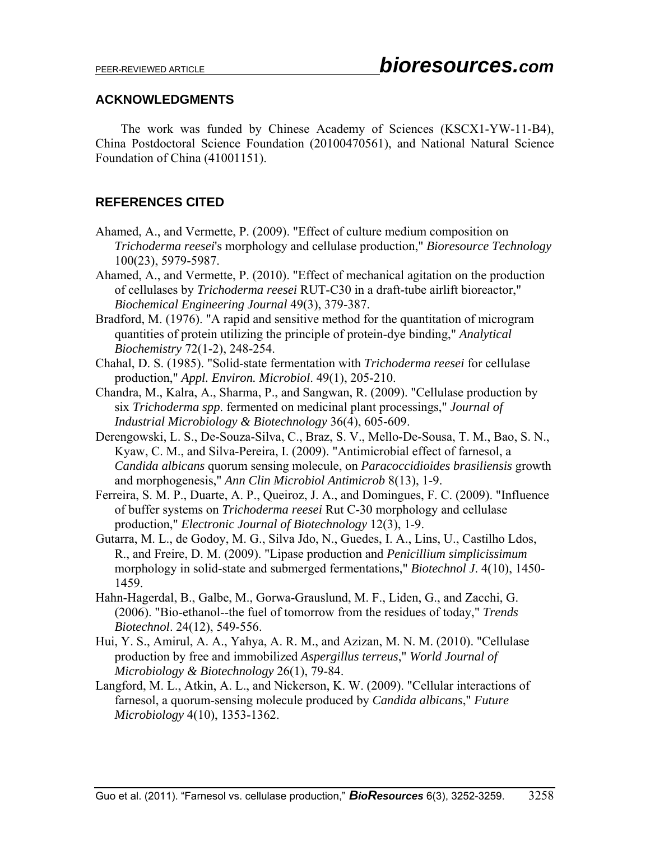## **ACKNOWLEDGMENTS**

The work was funded by Chinese Academy of Sciences (KSCX1-YW-11-B4), China Postdoctoral Science Foundation (20100470561), and National Natural Science Foundation of China (41001151).

## **REFERENCES CITED**

- Ahamed, A., and Vermette, P. (2009). "Effect of culture medium composition on *Trichoderma reesei*'s morphology and cellulase production," *Bioresource Technology* 100(23), 5979-5987.
- Ahamed, A., and Vermette, P. (2010). "Effect of mechanical agitation on the production of cellulases by *Trichoderma reesei* RUT-C30 in a draft-tube airlift bioreactor," *Biochemical Engineering Journal* 49(3), 379-387.
- Bradford, M. (1976). "A rapid and sensitive method for the quantitation of microgram quantities of protein utilizing the principle of protein-dye binding," *Analytical Biochemistry* 72(1-2), 248-254.
- Chahal, D. S. (1985). "Solid-state fermentation with *Trichoderma reesei* for cellulase production," *Appl. Environ. Microbiol*. 49(1), 205-210.
- Chandra, M., Kalra, A., Sharma, P., and Sangwan, R. (2009). "Cellulase production by six *Trichoderma spp*. fermented on medicinal plant processings," *Journal of Industrial Microbiology & Biotechnology* 36(4), 605-609.
- Derengowski, L. S., De-Souza-Silva, C., Braz, S. V., Mello-De-Sousa, T. M., Bao, S. N., Kyaw, C. M., and Silva-Pereira, I. (2009). "Antimicrobial effect of farnesol, a *Candida albicans* quorum sensing molecule, on *Paracoccidioides brasiliensis* growth and morphogenesis," *Ann Clin Microbiol Antimicrob* 8(13), 1-9.
- Ferreira, S. M. P., Duarte, A. P., Queiroz, J. A., and Domingues, F. C. (2009). "Influence of buffer systems on *Trichoderma reesei* Rut C-30 morphology and cellulase production," *Electronic Journal of Biotechnology* 12(3), 1-9.
- Gutarra, M. L., de Godoy, M. G., Silva Jdo, N., Guedes, I. A., Lins, U., Castilho Ldos, R., and Freire, D. M. (2009). "Lipase production and *Penicillium simplicissimum*  morphology in solid-state and submerged fermentations," *Biotechnol J*. 4(10), 1450- 1459.
- Hahn-Hagerdal, B., Galbe, M., Gorwa-Grauslund, M. F., Liden, G., and Zacchi, G. (2006). "Bio-ethanol--the fuel of tomorrow from the residues of today," *Trends Biotechnol*. 24(12), 549-556.
- Hui, Y. S., Amirul, A. A., Yahya, A. R. M., and Azizan, M. N. M. (2010). "Cellulase production by free and immobilized *Aspergillus terreus*," *World Journal of Microbiology & Biotechnology* 26(1), 79-84.
- Langford, M. L., Atkin, A. L., and Nickerson, K. W. (2009). "Cellular interactions of farnesol, a quorum-sensing molecule produced by *Candida albicans*," *Future Microbiology* 4(10), 1353-1362.